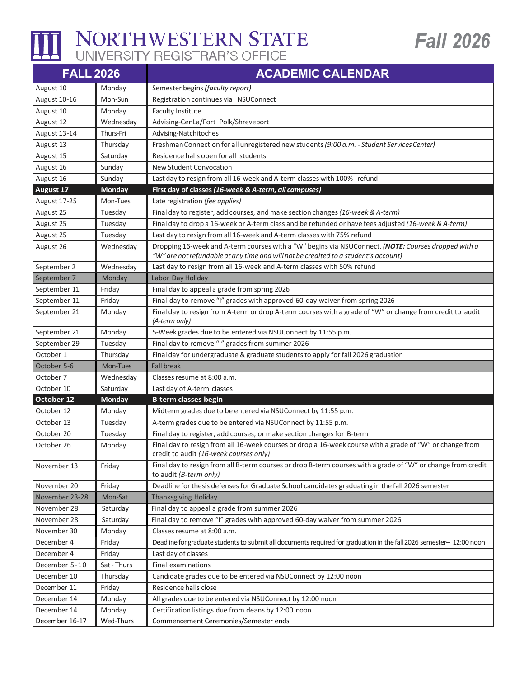

## NORTHWESTERN STATE

| <b>FALL 2026</b>      |               | <b>ACADEMIC CALENDAR</b>                                                                                                                           |
|-----------------------|---------------|----------------------------------------------------------------------------------------------------------------------------------------------------|
| August 10             | Monday        | Semester begins (faculty report)                                                                                                                   |
| August 10-16          | Mon-Sun       | Registration continues via NSUConnect                                                                                                              |
| August 10             | Monday        | <b>Faculty Institute</b>                                                                                                                           |
| August 12             | Wednesday     | Advising-CenLa/Fort Polk/Shreveport                                                                                                                |
| August 13-14          | Thurs-Fri     | Advising-Natchitoches                                                                                                                              |
| August 13             | Thursday      | Freshman Connection for all unregistered new students (9:00 a.m. - Student Services Center)                                                        |
| August 15             | Saturday      | Residence halls open for all students                                                                                                              |
| August 16             | Sunday        | <b>New Student Convocation</b>                                                                                                                     |
| August 16             | Sunday        | Last day to resign from all 16-week and A-term classes with 100% refund                                                                            |
| August 17             | Monday        | First day of classes (16-week & A-term, all campuses)                                                                                              |
| August 17-25          | Mon-Tues      | Late registration (fee applies)                                                                                                                    |
| August 25             | Tuesday       | Final day to register, add courses, and make section changes (16-week & A-term)                                                                    |
| August 25             | Tuesday       | Final day to drop a 16-week or A-term class and be refunded or have fees adjusted (16-week & A-term)                                               |
| August 25             | Tuesday       | Last day to resign from all 16-week and A-term classes with 75% refund                                                                             |
| August 26             | Wednesday     | Dropping 16-week and A-term courses with a "W" begins via NSUConnect. (NOTE: Courses dropped with a                                                |
|                       |               | "W" are not refundable at any time and will not be credited to a student's account)                                                                |
| September 2           | Wednesday     | Last day to resign from all 16-week and A-term classes with 50% refund                                                                             |
| September 7           | Monday        | Labor Day Holiday                                                                                                                                  |
| September 11          | Friday        | Final day to appeal a grade from spring 2026                                                                                                       |
| September 11          | Friday        | Final day to remove "I" grades with approved 60-day waiver from spring 2026                                                                        |
| September 21          | Monday        | Final day to resign from A-term or drop A-term courses with a grade of "W" or change from credit to audit<br>(A-term only)                         |
| September 21          | Monday        | 5-Week grades due to be entered via NSUConnect by 11:55 p.m.                                                                                       |
| September 29          | Tuesday       | Final day to remove "I" grades from summer 2026                                                                                                    |
| October 1             | Thursday      | Final day for undergraduate & graduate students to apply for fall 2026 graduation                                                                  |
| October 5-6           | Mon-Tues      | <b>Fall break</b>                                                                                                                                  |
| October 7             | Wednesday     | Classes resume at 8:00 a.m.                                                                                                                        |
| October 10            | Saturday      | Last day of A-term classes                                                                                                                         |
| October <sub>12</sub> | <b>Monday</b> | <b>B-term classes begin</b>                                                                                                                        |
| October 12            | Monday        | Midterm grades due to be entered via NSUConnect by 11:55 p.m.                                                                                      |
| October 13            | Tuesday       | A-term grades due to be entered via NSUConnect by 11:55 p.m.                                                                                       |
| October 20            | Tuesday       | Final day to register, add courses, or make section changes for B-term                                                                             |
| October 26            | Monday        | Final day to resign from all 16-week courses or drop a 16-week course with a grade of "W" or change from<br>credit to audit (16-week courses only) |
| November 13           | Friday        | Final day to resign from all B-term courses or drop B-term courses with a grade of "W" or change from credit<br>to audit (B-term only)             |
| November 20           | Friday        | Deadline for thesis defenses for Graduate School candidates graduating in the fall 2026 semester                                                   |
| November 23-28        | Mon-Sat       | <b>Thanksgiving Holiday</b>                                                                                                                        |
| November 28           | Saturday      | Final day to appeal a grade from summer 2026                                                                                                       |
| November 28           | Saturday      | Final day to remove "I" grades with approved 60-day waiver from summer 2026                                                                        |
| November 30           | Monday        | Classes resume at 8:00 a.m.                                                                                                                        |
| December 4            | Friday        | Deadline for graduate students to submit all documents required for graduation in the fall 2026 semester- 12:00 noon                               |
| December 4            | Friday        | Last day of classes                                                                                                                                |
| December 5-10         | Sat - Thurs   | Final examinations                                                                                                                                 |
| December 10           | Thursday      | Candidate grades due to be entered via NSUConnect by 12:00 noon                                                                                    |
| December 11           | Friday        | Residence halls close                                                                                                                              |
| December 14           | Monday        | All grades due to be entered via NSUConnect by 12:00 noon                                                                                          |
| December 14           | Monday        | Certification listings due from deans by 12:00 noon                                                                                                |
| December 16-17        | Wed-Thurs     | Commencement Ceremonies/Semester ends                                                                                                              |

**Fall 2026**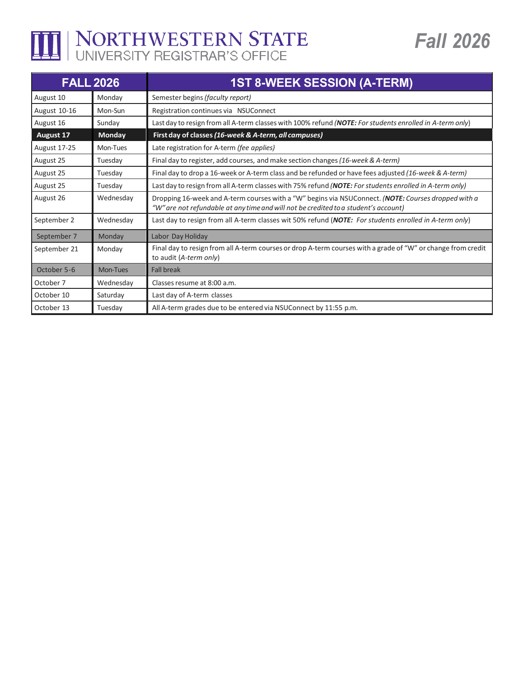

## THE NORTHWESTERN STATE

| <b>FALL 2026</b>    |               | <b>1ST 8-WEEK SESSION (A-TERM)</b>                                                                                                                                                         |
|---------------------|---------------|--------------------------------------------------------------------------------------------------------------------------------------------------------------------------------------------|
| August 10           | Mondav        | Semester begins (faculty report)                                                                                                                                                           |
| August 10-16        | Mon-Sun       | Registration continues via NSUConnect                                                                                                                                                      |
| August 16           | Sunday        | Last day to resign from all A-term classes with 100% refund (NOTE: For students enrolled in A-term only)                                                                                   |
| August 17           | <b>Monday</b> | First day of classes (16-week & A-term, all campuses)                                                                                                                                      |
| <b>August 17-25</b> | Mon-Tues      | Late registration for A-term (fee applies)                                                                                                                                                 |
| August 25           | Tuesday       | Final day to register, add courses, and make section changes (16-week & A-term)                                                                                                            |
| August 25           | Tuesday       | Final day to drop a 16-week or A-term class and be refunded or have fees adjusted (16-week & A-term)                                                                                       |
| August 25           | Tuesday       | Last day to resign from all A-term classes with 75% refund (NOTE: For students enrolled in A-term only)                                                                                    |
| August 26           | Wednesday     | Dropping 16-week and A-term courses with a "W" begins via NSUConnect. (NOTE: Courses dropped with a<br>"W" are not refundable at any time and will not be credited to a student's account) |
| September 2         | Wednesday     | Last day to resign from all A-term classes wit 50% refund (NOTE: For students enrolled in A-term only)                                                                                     |
| September 7         | Monday        | Labor Day Holiday                                                                                                                                                                          |
| September 21        | Monday        | Final day to resign from all A-term courses or drop A-term courses with a grade of "W" or change from credit<br>to audit (A-term only)                                                     |
| October 5-6         | Mon-Tues      | <b>Fall break</b>                                                                                                                                                                          |
| October 7           | Wednesday     | Classes resume at 8:00 a.m.                                                                                                                                                                |
| October 10          | Saturday      | Last day of A-term classes                                                                                                                                                                 |
| October 13          | Tuesday       | All A-term grades due to be entered via NSUConnect by 11:55 p.m.                                                                                                                           |

**Fall 2026**